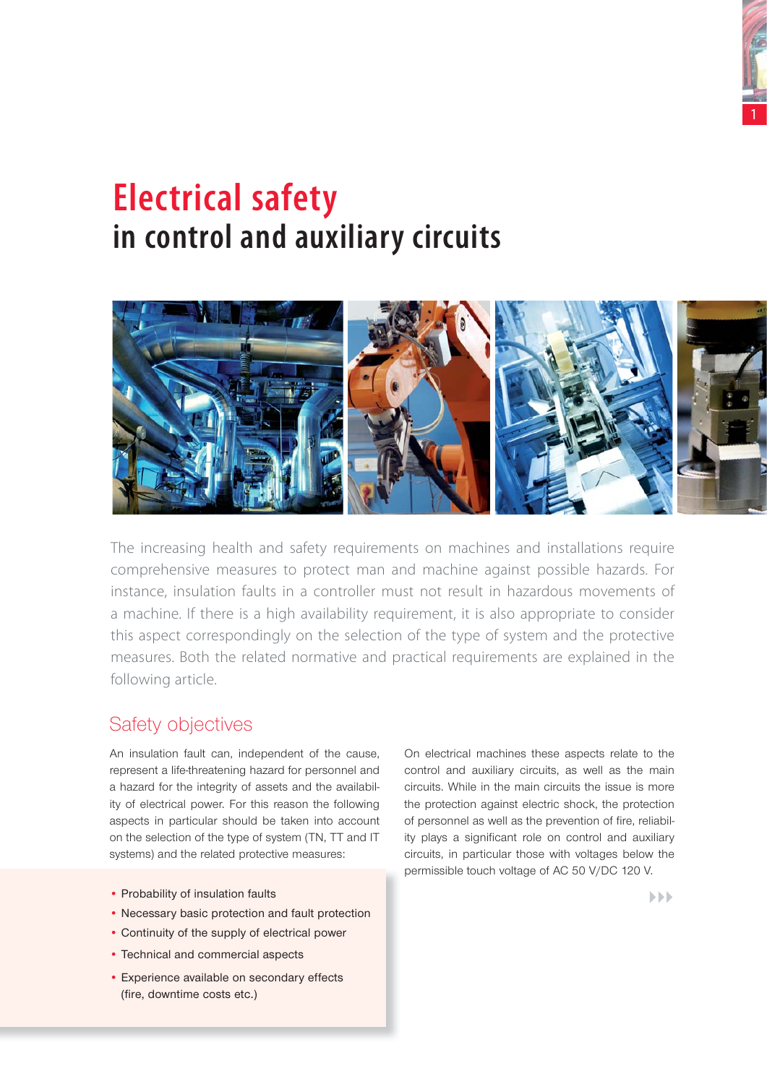

# **Electrical safety in control and auxiliary circuits**



The increasing health and safety requirements on machines and installations require comprehensive measures to protect man and machine against possible hazards. For instance, insulation faults in a controller must not result in hazardous movements of a machine. If there is a high availability requirement, it is also appropriate to consider this aspect correspondingly on the selection of the type of system and the protective measures. Both the related normative and practical requirements are explained in the following article.

# Safety objectives

An insulation fault can, independent of the cause, represent a life-threatening hazard for personnel and a hazard for the integrity of assets and the availability of electrical power. For this reason the following aspects in particular should be taken into account on the selection of the type of system (TN, TT and IT systems) and the related protective measures:

- Probability of insulation faults
- Necessary basic protection and fault protection
- Continuity of the supply of electrical power
- Technical and commercial aspects
- Experience available on secondary effects (fire, downtime costs etc.)

On electrical machines these aspects relate to the control and auxiliary circuits, as well as the main circuits. While in the main circuits the issue is more the protection against electric shock, the protection of personnel as well as the prevention of fire, reliability plays a significant role on control and auxiliary circuits, in particular those with voltages below the permissible touch voltage of AC 50 V/DC 120 V.

 $\blacktriangleright$   $\blacktriangleright$   $\blacktriangleright$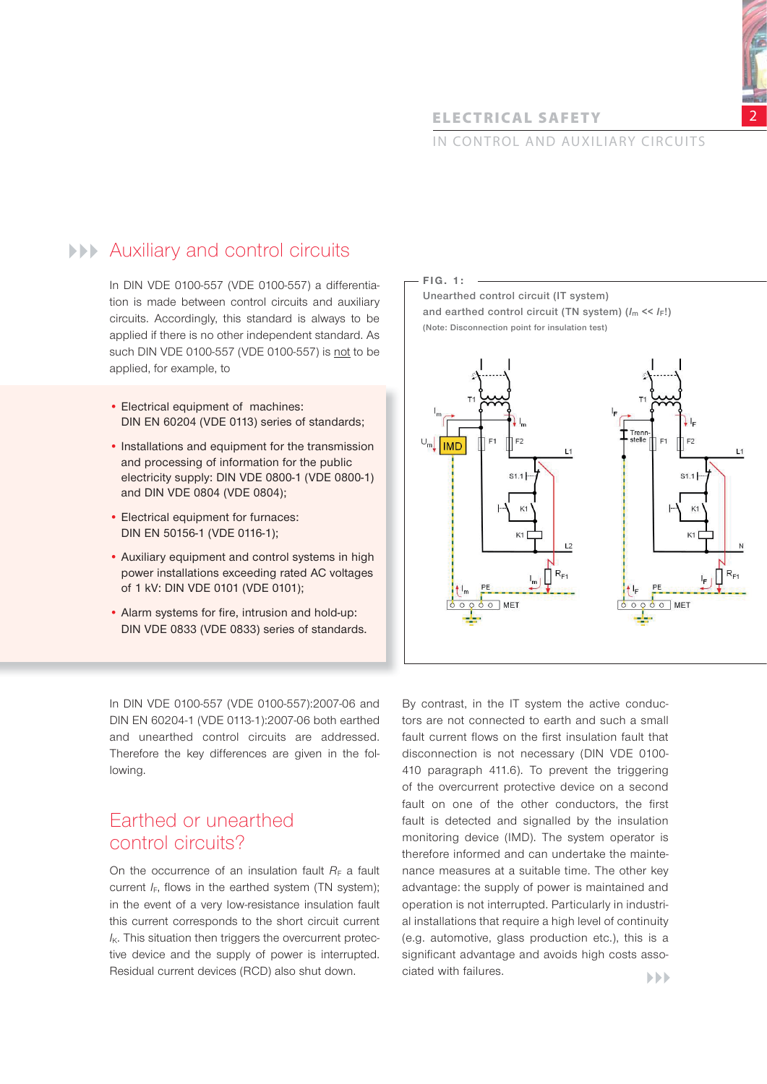# **ELECTRICAL SAFETY**

# IN CONTROL AND AUXILIARY CIRCUITS

# **AUXiliary and control circuits**

In DIN VDE 0100-557 (VDE 0100-557) a differentiation is made between control circuits and auxiliary circuits. Accordingly, this standard is always to be applied if there is no other independent standard. As such DIN VDE 0100-557 (VDE 0100-557) is not to be applied, for example, to

- Electrical equipment of machines: DIN EN 60204 (VDE 0113) series of standards;
- Installations and equipment for the transmission and processing of information for the public electricity supply: DIN VDE 0800-1 (VDE 0800-1) and DIN VDE 0804 (VDE 0804);
- Electrical equipment for furnaces: DIN EN 50156-1 (VDE 0116-1);
- Auxiliary equipment and control systems in high power installations exceeding rated AC voltages of 1 kV: DIN VDE 0101 (VDE 0101);
- Alarm systems for fire, intrusion and hold-up: DIN VDE 0833 (VDE 0833) series of standards.

In DIN VDE 0100-557 (VDE 0100-557):2007-06 and DIN EN 60204-1 (VDE 0113-1):2007-06 both earthed and unearthed control circuits are addressed. Therefore the key differences are given in the following.

# Earthed or unearthed control circuits?

On the occurrence of an insulation fault  $R_F$  a fault current  $I_F$ , flows in the earthed system (TN system); in the event of a very low-resistance insulation fault this current corresponds to the short circuit current  $I_{K}$ . This situation then triggers the overcurrent protective device and the supply of power is interrupted. Residual current devices (RCD) also shut down.

**F I G . 1 : Unearthed control circuit (IT system) and earthed control circuit (TN system) (***I***m <<** *I***F!) (Note: Disconnection point for insulation test)**



By contrast, in the IT system the active conductors are not connected to earth and such a small fault current flows on the first insulation fault that disconnection is not necessary (DIN VDE 0100- 410 paragraph 411.6). To prevent the triggering of the overcurrent protective device on a second fault on one of the other conductors, the first fault is detected and signalled by the insulation monitoring device (IMD). The system operator is therefore informed and can undertake the maintenance measures at a suitable time. The other key advantage: the supply of power is maintained and operation is not interrupted. Particularly in industrial installations that require a high level of continuity (e.g. automotive, glass production etc.), this is a significant advantage and avoids high costs associated with failures.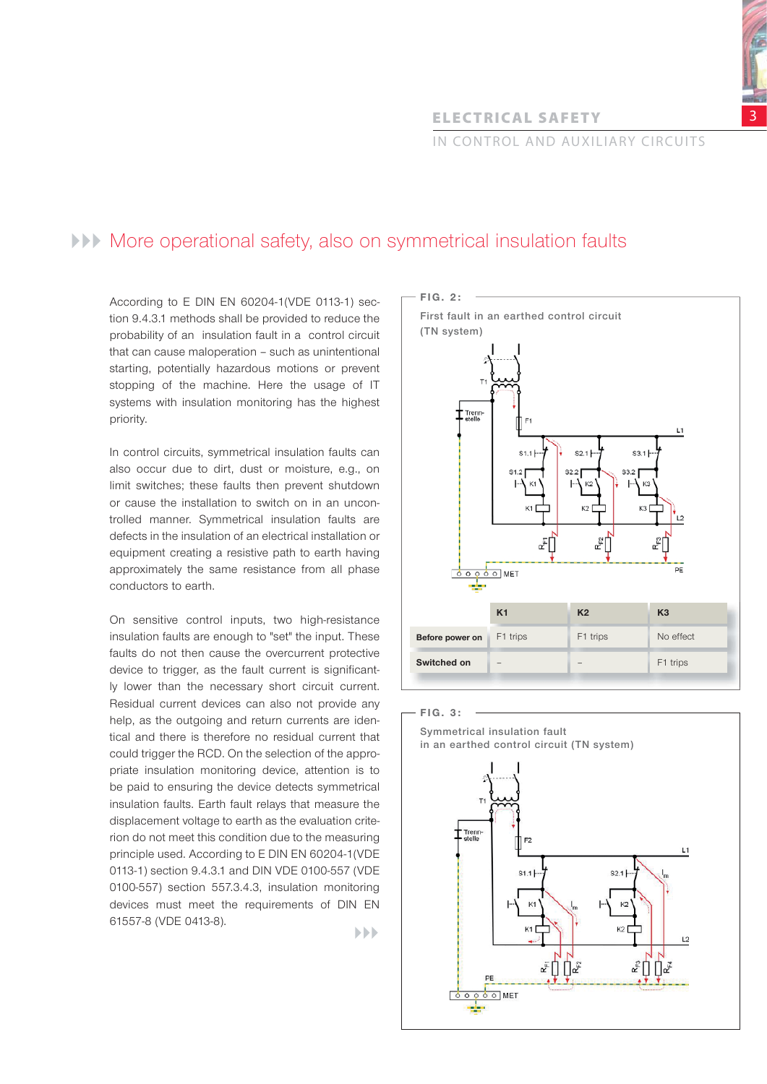**ELECTRICAL SAFETY** 

# IN CONTROL AND AUXILIARY CIRCUITS

# More operational safety, also on symmetrical insulation faults

According to E DIN EN 60204-1(VDE 0113-1) section 9.4.3.1 methods shall be provided to reduce the probability of an insulation fault in a control circuit that can cause maloperation – such as unintentional starting, potentially hazardous motions or prevent stopping of the machine. Here the usage of IT systems with insulation monitoring has the highest priority.

In control circuits, symmetrical insulation faults can also occur due to dirt, dust or moisture, e.g., on limit switches; these faults then prevent shutdown or cause the installation to switch on in an uncontrolled manner. Symmetrical insulation faults are defects in the insulation of an electrical installation or equipment creating a resistive path to earth having approximately the same resistance from all phase conductors to earth.

On sensitive control inputs, two high-resistance insulation faults are enough to "set" the input. These faults do not then cause the overcurrent protective device to trigger, as the fault current is significantly lower than the necessary short circuit current. Residual current devices can also not provide any help, as the outgoing and return currents are identical and there is therefore no residual current that could trigger the RCD. On the selection of the appropriate insulation monitoring device, attention is to be paid to ensuring the device detects symmetrical insulation faults. Earth fault relays that measure the displacement voltage to earth as the evaluation criterion do not meet this condition due to the measuring principle used. According to E DIN EN 60204-1(VDE 0113-1) section 9.4.3.1 and DIN VDE 0100-557 (VDE 0100-557) section 557.3.4.3, insulation monitoring devices must meet the requirements of DIN EN 61557-8 (VDE 0413-8).



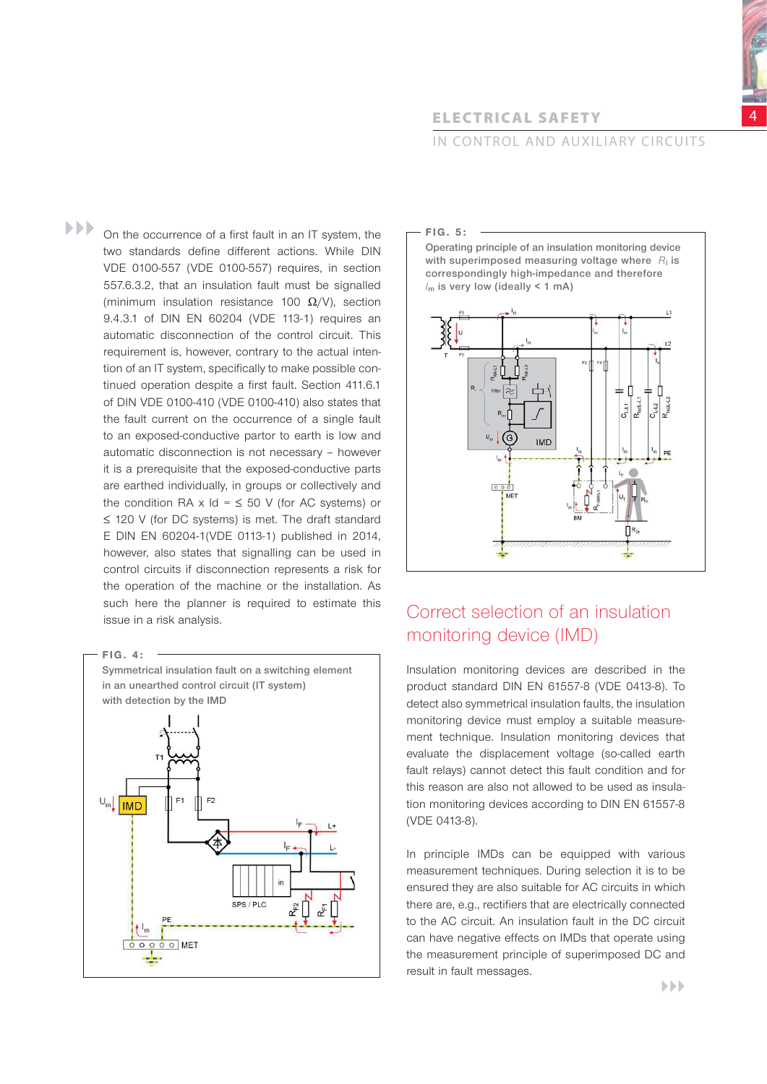# **ELECTRIC AL SAFETY**

# IN CONTROL AND AUXILIARY CIRCUITS

 $\blacktriangleright\blacktriangleright\blacktriangleright$ On the occurrence of a first fault in an IT system, the two standards define different actions. While DIN VDE 0100-557 (VDE 0100-557) requires, in section 557.6.3.2, that an insulation fault must be signalled (minimum insulation resistance 100  $\Omega$ /V), section 9.4.3.1 of DIN EN 60204 (VDE 113-1) requires an automatic disconnection of the control circuit. This requirement is, however, contrary to the actual intention of an IT system, specifically to make possible continued operation despite a first fault. Section 411.6.1 of DIN VDE 0100-410 (VDE 0100-410) also states that the fault current on the occurrence of a single fault to an exposed-conductive partor to earth is low and automatic disconnection is not necessary – however it is a prerequisite that the exposed-conductive parts are earthed individually, in groups or collectively and the condition RA x  $Id = 50$  V (for AC systems) or ≤ 120 V (for DC systems) is met. The draft standard E DIN EN 60204-1(VDE 0113-1) published in 2014, however, also states that signalling can be used in control circuits if disconnection represents a risk for the operation of the machine or the installation. As such here the planner is required to estimate this such here the planner is required to estimate this Correct selection of an insulation issue in a risk analysis.



### **F I G . 5 :**

**Operating principle of an insulation monitoring device with superimposed measuring voltage where** *R***i is correspondingly high-impedance and therefore**  *I***m is very low (ideally < 1 mA)**



# monitoring device (IMD)

Insulation monitoring devices are described in the product standard DIN EN 61557-8 (VDE 0413-8). To detect also symmetrical insulation faults, the insulation monitoring device must employ a suitable measurement technique. Insulation monitoring devices that evaluate the displacement voltage (so-called earth fault relays) cannot detect this fault condition and for this reason are also not allowed to be used as insulation monitoring devices according to DIN EN 61557-8 (VDE 0413-8).

In principle IMDs can be equipped with various measurement techniques. During selection it is to be ensured they are also suitable for AC circuits in which there are, e.g., rectifiers that are electrically connected to the AC circuit. An insulation fault in the DC circuit can have negative effects on IMDs that operate using the measurement principle of superimposed DC and result in fault messages.